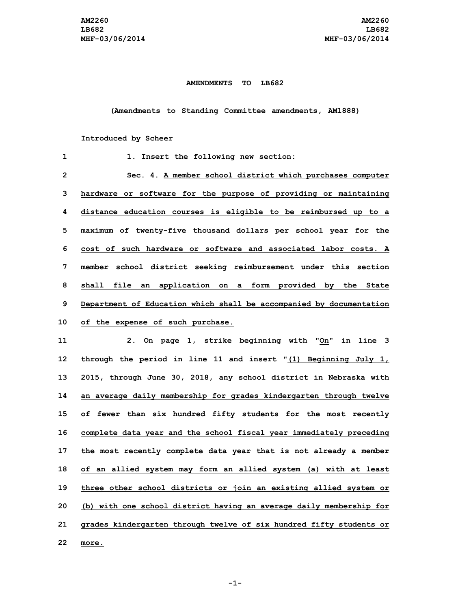## **AMENDMENTS TO LB682**

**(Amendments to Standing Committee amendments, AM1888)**

## **Introduced by Scheer**

| 1              | 1. Insert the following new section:                                    |
|----------------|-------------------------------------------------------------------------|
| $\overline{2}$ | Sec. 4. A member school district which purchases computer               |
| з              | hardware or software for the purpose of providing or maintaining        |
| 4              | distance education courses is eligible to be reimbursed up to a         |
| 5              | maximum of twenty-five thousand dollars per school year for the         |
| 6              | cost of such hardware or software and associated labor costs. A         |
| 7              | member school district seeking reimbursement under this section         |
| 8              | shall file an application on a form provided by the State               |
| 9              | Department of Education which shall be accompanied by documentation     |
| 10             | of the expense of such purchase.                                        |
| 11             | On page 1, strike beginning with "On" in line 3<br>2.                   |
| 12             | through the period in line 11 and insert $\sqrt{(1)}$ Beginning July 1, |
| 13             | 2015, through June 30, 2018, any school district in Nebraska with       |
| 14             | an average daily membership for grades kindergarten through twelve      |
| 15             | of fewer than six hundred fifty students for the most recently          |
| 16             | complete data year and the school fiscal year immediately preceding     |
| 17             | the most recently complete data year that is not already a member       |
| 18             | of an allied system may form an allied system (a) with at least         |
| 19             | three other school districts or join an existing allied system or       |
| 20             | (b) with one school district having an average daily membership for     |
| 21             | grades kindergarten through twelve of six hundred fifty students or     |
| 22             | more.                                                                   |

**-1-**